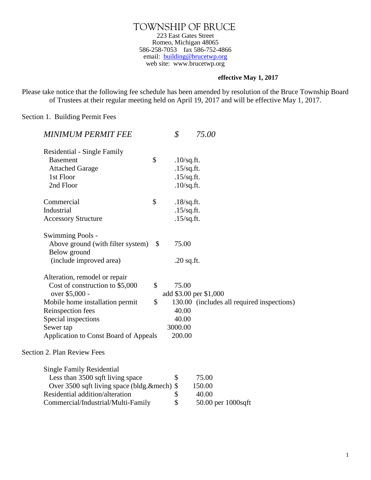TOWNSHIP OF BRUCE 223 East Gates Street Romeo, Michigan 48065 586-258-7053 fax 586-752-4866 email: [building@brucetwp.org](mailto:building@brucetwp.org) web site: www.brucetwp.org

## **effective May 1, 2017**

Please take notice that the following fee schedule has been amended by resolution of the Bruce Township Board of Trustees at their regular meeting held on April 19, 2017 and will be effective May 1, 2017.

Section 1. Building Permit Fees

| MINIMUM PERMIT FEE                           |              | \$            | 75.00                                      |
|----------------------------------------------|--------------|---------------|--------------------------------------------|
| Residential - Single Family                  |              |               |                                            |
| <b>Basement</b>                              | \$           | $.10$ /sq.ft. |                                            |
| <b>Attached Garage</b>                       |              | $.15$ /sq.ft. |                                            |
| 1st Floor                                    |              | $.15$ /sq.ft. |                                            |
| 2nd Floor                                    |              | $.10$ /sq.ft. |                                            |
| Commercial                                   | \$           | $.18$ /sq.ft. |                                            |
| Industrial                                   |              | $.15$ /sq.ft. |                                            |
| <b>Accessory Structure</b>                   |              | $.15$ /sq.ft. |                                            |
| Swimming Pools -                             |              |               |                                            |
| Above ground (with filter system)            | $\mathbb{S}$ | 75.00         |                                            |
| Below ground                                 |              |               |                                            |
| (include improved area)                      |              | $.20$ sq.ft.  |                                            |
| Alteration, remodel or repair                |              |               |                                            |
| Cost of construction to \$5,000              | \$           | 75.00         |                                            |
| over \$5,000 -                               |              |               | add \$3.00 per \$1,000                     |
| Mobile home installation permit              | \$           |               | 130.00 (includes all required inspections) |
| Reinspection fees                            |              | 40.00         |                                            |
| Special inspections                          |              | 40.00         |                                            |
| Sewer tap                                    |              | 3000.00       |                                            |
| <b>Application to Const Board of Appeals</b> |              | 200.00        |                                            |
| Section 2. Plan Review Fees                  |              |               |                                            |
| <b>Single Family Residential</b>             |              |               |                                            |
| Less than 3500 sqft living space             |              | \$            | 75.00                                      |
| Over 3500 sqft living space (bldg. & mech)   |              | \$            | 150.00                                     |
| Residential addition/alteration              |              | \$            | 40.00                                      |
| Commercial/Industrial/Multi-Family           |              | \$            | 50.00 per 1000sqft                         |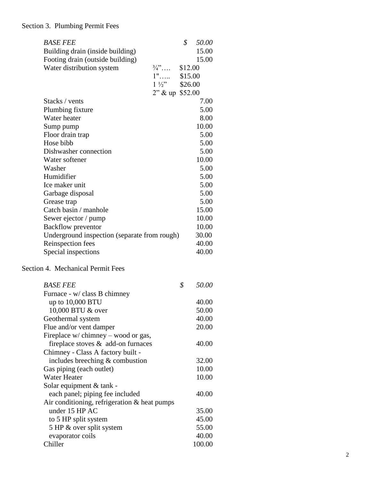## Section 3. Plumbing Permit Fees

| <b>BASE FEE</b>                                                           |                        | \$      | 50.00  |
|---------------------------------------------------------------------------|------------------------|---------|--------|
| Building drain (inside building)                                          |                        |         | 15.00  |
| Footing drain (outside building)                                          |                        |         | 15.00  |
| Water distribution system                                                 | $\frac{3}{4}$          | \$12.00 |        |
|                                                                           | $1"$ \$15.00           |         |        |
|                                                                           | $1\frac{1}{2}$ \$26.00 |         |        |
|                                                                           | $2"$ & up \$52.00      |         |        |
| Stacks / vents                                                            |                        |         | 7.00   |
| Plumbing fixture                                                          |                        |         | 5.00   |
| Water heater                                                              |                        |         | 8.00   |
| Sump pump                                                                 |                        |         | 10.00  |
| Floor drain trap                                                          |                        |         | 5.00   |
| Hose bibb                                                                 |                        |         | 5.00   |
| Dishwasher connection                                                     |                        |         | 5.00   |
| Water softener                                                            |                        |         | 10.00  |
| Washer                                                                    |                        |         | 5.00   |
| Humidifier                                                                |                        |         | 5.00   |
| Ice maker unit                                                            |                        |         | 5.00   |
| Garbage disposal                                                          |                        |         | 5.00   |
| Grease trap                                                               |                        |         | 5.00   |
| Catch basin / manhole                                                     |                        |         | 15.00  |
| Sewer ejector / pump                                                      |                        |         | 10.00  |
| <b>Backflow</b> preventor                                                 |                        |         | 10.00  |
| Underground inspection (separate from rough)                              |                        |         | 30.00  |
| Reinspection fees                                                         |                        |         | 40.00  |
| Special inspections                                                       |                        |         | 40.00  |
|                                                                           |                        |         |        |
| Section 4. Mechanical Permit Fees                                         |                        |         |        |
| <b>BASE FEE</b>                                                           |                        | \$      | 50.00  |
|                                                                           |                        |         |        |
| Furnace - w/ class B chimney                                              |                        |         | 40.00  |
| up to $10,000$ BTU<br>10,000 BTU & over                                   |                        |         | 50.00  |
|                                                                           |                        |         | 40.00  |
| Geothermal system                                                         |                        |         | 20.00  |
| Flue and/or vent damper                                                   |                        |         |        |
| Fireplace w/ chimney – wood or gas,<br>fireplace stoves & add-on furnaces |                        |         | 40.00  |
|                                                                           |                        |         |        |
| Chimney - Class A factory built -                                         |                        |         | 32.00  |
| includes breeching $&$ combustion                                         |                        |         | 10.00  |
| Gas piping (each outlet)<br><b>Water Heater</b>                           |                        |         |        |
| Solar equipment & tank -                                                  |                        |         | 10.00  |
|                                                                           |                        |         |        |
| each panel; piping fee included                                           |                        |         | 40.00  |
| Air conditioning, refrigeration $&$ heat pumps                            |                        |         |        |
| under 15 HP AC                                                            |                        |         | 35.00  |
| to 5 HP split system                                                      |                        |         | 45.00  |
| 5 HP & over split system                                                  |                        |         | 55.00  |
| evaporator coils                                                          |                        |         | 40.00  |
| Chiller                                                                   |                        |         | 100.00 |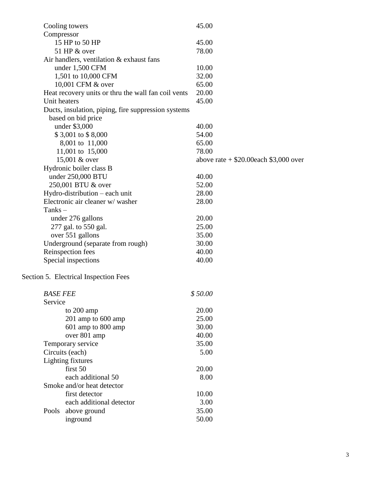| Compressor<br>15 HP to 50 HP<br>45.00<br>51 HP & over<br>78.00<br>Air handlers, ventilation $&$ exhaust fans<br>under 1,500 CFM<br>10.00<br>1,501 to 10,000 CFM<br>32.00<br>10,001 CFM & over<br>65.00<br>20.00<br>Heat recovery units or thru the wall fan coil vents<br>Unit heaters<br>45.00<br>Ducts, insulation, piping, fire suppression systems<br>based on bid price<br>under \$3,000<br>40.00<br>\$3,001 to \$8,000<br>54.00<br>8,001 to 11,000<br>65.00<br>11,001 to 15,000<br>78.00<br>15,001 & over<br>above rate $+$ \$20.00each \$3,000 over<br>Hydronic boiler class B<br>under 250,000 BTU<br>40.00<br>250,001 BTU & over<br>52.00<br>Hydro-distribution – each unit<br>28.00<br>Electronic air cleaner w/washer<br>28.00<br>Tanks $-$<br>20.00<br>under 276 gallons<br>277 gal. to 550 gal.<br>25.00<br>over 551 gallons<br>35.00<br>Underground (separate from rough)<br>30.00<br>Reinspection fees<br>40.00<br>Special inspections<br>40.00<br>Section 5. Electrical Inspection Fees<br>\$50.00<br><b>BASE FEE</b><br>Service<br>20.00<br>to 200 amp<br>201 amp to 600 amp<br>25.00<br>601 amp to 800 amp<br>30.00<br>40.00<br>over 801 amp<br>Temporary service<br>35.00<br>Circuits (each)<br>5.00<br>Lighting fixtures<br>first 50<br>20.00<br>each additional 50<br>8.00 | Cooling towers | 45.00 |
|-------------------------------------------------------------------------------------------------------------------------------------------------------------------------------------------------------------------------------------------------------------------------------------------------------------------------------------------------------------------------------------------------------------------------------------------------------------------------------------------------------------------------------------------------------------------------------------------------------------------------------------------------------------------------------------------------------------------------------------------------------------------------------------------------------------------------------------------------------------------------------------------------------------------------------------------------------------------------------------------------------------------------------------------------------------------------------------------------------------------------------------------------------------------------------------------------------------------------------------------------------------------------------------------------|----------------|-------|
|                                                                                                                                                                                                                                                                                                                                                                                                                                                                                                                                                                                                                                                                                                                                                                                                                                                                                                                                                                                                                                                                                                                                                                                                                                                                                                 |                |       |
|                                                                                                                                                                                                                                                                                                                                                                                                                                                                                                                                                                                                                                                                                                                                                                                                                                                                                                                                                                                                                                                                                                                                                                                                                                                                                                 |                |       |
|                                                                                                                                                                                                                                                                                                                                                                                                                                                                                                                                                                                                                                                                                                                                                                                                                                                                                                                                                                                                                                                                                                                                                                                                                                                                                                 |                |       |
|                                                                                                                                                                                                                                                                                                                                                                                                                                                                                                                                                                                                                                                                                                                                                                                                                                                                                                                                                                                                                                                                                                                                                                                                                                                                                                 |                |       |
|                                                                                                                                                                                                                                                                                                                                                                                                                                                                                                                                                                                                                                                                                                                                                                                                                                                                                                                                                                                                                                                                                                                                                                                                                                                                                                 |                |       |
|                                                                                                                                                                                                                                                                                                                                                                                                                                                                                                                                                                                                                                                                                                                                                                                                                                                                                                                                                                                                                                                                                                                                                                                                                                                                                                 |                |       |
|                                                                                                                                                                                                                                                                                                                                                                                                                                                                                                                                                                                                                                                                                                                                                                                                                                                                                                                                                                                                                                                                                                                                                                                                                                                                                                 |                |       |
|                                                                                                                                                                                                                                                                                                                                                                                                                                                                                                                                                                                                                                                                                                                                                                                                                                                                                                                                                                                                                                                                                                                                                                                                                                                                                                 |                |       |
|                                                                                                                                                                                                                                                                                                                                                                                                                                                                                                                                                                                                                                                                                                                                                                                                                                                                                                                                                                                                                                                                                                                                                                                                                                                                                                 |                |       |
|                                                                                                                                                                                                                                                                                                                                                                                                                                                                                                                                                                                                                                                                                                                                                                                                                                                                                                                                                                                                                                                                                                                                                                                                                                                                                                 |                |       |
|                                                                                                                                                                                                                                                                                                                                                                                                                                                                                                                                                                                                                                                                                                                                                                                                                                                                                                                                                                                                                                                                                                                                                                                                                                                                                                 |                |       |
|                                                                                                                                                                                                                                                                                                                                                                                                                                                                                                                                                                                                                                                                                                                                                                                                                                                                                                                                                                                                                                                                                                                                                                                                                                                                                                 |                |       |
|                                                                                                                                                                                                                                                                                                                                                                                                                                                                                                                                                                                                                                                                                                                                                                                                                                                                                                                                                                                                                                                                                                                                                                                                                                                                                                 |                |       |
|                                                                                                                                                                                                                                                                                                                                                                                                                                                                                                                                                                                                                                                                                                                                                                                                                                                                                                                                                                                                                                                                                                                                                                                                                                                                                                 |                |       |
|                                                                                                                                                                                                                                                                                                                                                                                                                                                                                                                                                                                                                                                                                                                                                                                                                                                                                                                                                                                                                                                                                                                                                                                                                                                                                                 |                |       |
|                                                                                                                                                                                                                                                                                                                                                                                                                                                                                                                                                                                                                                                                                                                                                                                                                                                                                                                                                                                                                                                                                                                                                                                                                                                                                                 |                |       |
|                                                                                                                                                                                                                                                                                                                                                                                                                                                                                                                                                                                                                                                                                                                                                                                                                                                                                                                                                                                                                                                                                                                                                                                                                                                                                                 |                |       |
|                                                                                                                                                                                                                                                                                                                                                                                                                                                                                                                                                                                                                                                                                                                                                                                                                                                                                                                                                                                                                                                                                                                                                                                                                                                                                                 |                |       |
|                                                                                                                                                                                                                                                                                                                                                                                                                                                                                                                                                                                                                                                                                                                                                                                                                                                                                                                                                                                                                                                                                                                                                                                                                                                                                                 |                |       |
|                                                                                                                                                                                                                                                                                                                                                                                                                                                                                                                                                                                                                                                                                                                                                                                                                                                                                                                                                                                                                                                                                                                                                                                                                                                                                                 |                |       |
|                                                                                                                                                                                                                                                                                                                                                                                                                                                                                                                                                                                                                                                                                                                                                                                                                                                                                                                                                                                                                                                                                                                                                                                                                                                                                                 |                |       |
|                                                                                                                                                                                                                                                                                                                                                                                                                                                                                                                                                                                                                                                                                                                                                                                                                                                                                                                                                                                                                                                                                                                                                                                                                                                                                                 |                |       |
|                                                                                                                                                                                                                                                                                                                                                                                                                                                                                                                                                                                                                                                                                                                                                                                                                                                                                                                                                                                                                                                                                                                                                                                                                                                                                                 |                |       |
|                                                                                                                                                                                                                                                                                                                                                                                                                                                                                                                                                                                                                                                                                                                                                                                                                                                                                                                                                                                                                                                                                                                                                                                                                                                                                                 |                |       |
|                                                                                                                                                                                                                                                                                                                                                                                                                                                                                                                                                                                                                                                                                                                                                                                                                                                                                                                                                                                                                                                                                                                                                                                                                                                                                                 |                |       |
|                                                                                                                                                                                                                                                                                                                                                                                                                                                                                                                                                                                                                                                                                                                                                                                                                                                                                                                                                                                                                                                                                                                                                                                                                                                                                                 |                |       |
|                                                                                                                                                                                                                                                                                                                                                                                                                                                                                                                                                                                                                                                                                                                                                                                                                                                                                                                                                                                                                                                                                                                                                                                                                                                                                                 |                |       |
|                                                                                                                                                                                                                                                                                                                                                                                                                                                                                                                                                                                                                                                                                                                                                                                                                                                                                                                                                                                                                                                                                                                                                                                                                                                                                                 |                |       |
|                                                                                                                                                                                                                                                                                                                                                                                                                                                                                                                                                                                                                                                                                                                                                                                                                                                                                                                                                                                                                                                                                                                                                                                                                                                                                                 |                |       |
|                                                                                                                                                                                                                                                                                                                                                                                                                                                                                                                                                                                                                                                                                                                                                                                                                                                                                                                                                                                                                                                                                                                                                                                                                                                                                                 |                |       |
|                                                                                                                                                                                                                                                                                                                                                                                                                                                                                                                                                                                                                                                                                                                                                                                                                                                                                                                                                                                                                                                                                                                                                                                                                                                                                                 |                |       |
|                                                                                                                                                                                                                                                                                                                                                                                                                                                                                                                                                                                                                                                                                                                                                                                                                                                                                                                                                                                                                                                                                                                                                                                                                                                                                                 |                |       |
|                                                                                                                                                                                                                                                                                                                                                                                                                                                                                                                                                                                                                                                                                                                                                                                                                                                                                                                                                                                                                                                                                                                                                                                                                                                                                                 |                |       |
|                                                                                                                                                                                                                                                                                                                                                                                                                                                                                                                                                                                                                                                                                                                                                                                                                                                                                                                                                                                                                                                                                                                                                                                                                                                                                                 |                |       |
|                                                                                                                                                                                                                                                                                                                                                                                                                                                                                                                                                                                                                                                                                                                                                                                                                                                                                                                                                                                                                                                                                                                                                                                                                                                                                                 |                |       |
|                                                                                                                                                                                                                                                                                                                                                                                                                                                                                                                                                                                                                                                                                                                                                                                                                                                                                                                                                                                                                                                                                                                                                                                                                                                                                                 |                |       |
|                                                                                                                                                                                                                                                                                                                                                                                                                                                                                                                                                                                                                                                                                                                                                                                                                                                                                                                                                                                                                                                                                                                                                                                                                                                                                                 |                |       |
|                                                                                                                                                                                                                                                                                                                                                                                                                                                                                                                                                                                                                                                                                                                                                                                                                                                                                                                                                                                                                                                                                                                                                                                                                                                                                                 |                |       |
|                                                                                                                                                                                                                                                                                                                                                                                                                                                                                                                                                                                                                                                                                                                                                                                                                                                                                                                                                                                                                                                                                                                                                                                                                                                                                                 |                |       |
|                                                                                                                                                                                                                                                                                                                                                                                                                                                                                                                                                                                                                                                                                                                                                                                                                                                                                                                                                                                                                                                                                                                                                                                                                                                                                                 |                |       |
|                                                                                                                                                                                                                                                                                                                                                                                                                                                                                                                                                                                                                                                                                                                                                                                                                                                                                                                                                                                                                                                                                                                                                                                                                                                                                                 |                |       |
| Smoke and/or heat detector                                                                                                                                                                                                                                                                                                                                                                                                                                                                                                                                                                                                                                                                                                                                                                                                                                                                                                                                                                                                                                                                                                                                                                                                                                                                      |                |       |
| 10.00<br>first detector                                                                                                                                                                                                                                                                                                                                                                                                                                                                                                                                                                                                                                                                                                                                                                                                                                                                                                                                                                                                                                                                                                                                                                                                                                                                         |                |       |
| each additional detector<br>3.00                                                                                                                                                                                                                                                                                                                                                                                                                                                                                                                                                                                                                                                                                                                                                                                                                                                                                                                                                                                                                                                                                                                                                                                                                                                                |                |       |
| above ground<br>35.00<br>Pools                                                                                                                                                                                                                                                                                                                                                                                                                                                                                                                                                                                                                                                                                                                                                                                                                                                                                                                                                                                                                                                                                                                                                                                                                                                                  |                |       |
| 50.00<br>inground                                                                                                                                                                                                                                                                                                                                                                                                                                                                                                                                                                                                                                                                                                                                                                                                                                                                                                                                                                                                                                                                                                                                                                                                                                                                               |                |       |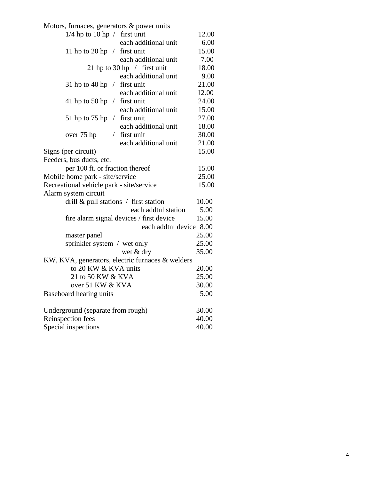| Motors, furnaces, generators & power units       |       |
|--------------------------------------------------|-------|
| $1/4$ hp to 10 hp / first unit                   | 12.00 |
| each additional unit                             | 6.00  |
| 11 hp to 20 hp $/$ first unit                    | 15.00 |
| each additional unit                             | 7.00  |
| 21 hp to 30 hp $/$ first unit                    | 18.00 |
| each additional unit                             | 9.00  |
| 31 hp to 40 hp $/$ first unit                    | 21.00 |
| each additional unit                             | 12.00 |
| 41 hp to 50 hp $/$ first unit                    | 24.00 |
| each additional unit                             | 15.00 |
| 51 hp to 75 hp $/$ first unit                    | 27.00 |
| each additional unit                             | 18.00 |
| / first unit<br>over 75 hp                       | 30.00 |
| each additional unit                             | 21.00 |
| Signs (per circuit)                              | 15.00 |
| Feeders, bus ducts, etc.                         |       |
| per 100 ft. or fraction thereof                  | 15.00 |
| Mobile home park - site/service                  | 25.00 |
| Recreational vehicle park - site/service         | 15.00 |
| Alarm system circuit                             |       |
| drill $\&$ pull stations / first station         | 10.00 |
| each addtnl station                              | 5.00  |
| fire alarm signal devices / first device         | 15.00 |
| each addtnl device 8.00                          |       |
| master panel                                     | 25.00 |
| sprinkler system / wet only                      | 25.00 |
| wet & dry                                        | 35.00 |
| KW, KVA, generators, electric furnaces & welders |       |
| to 20 KW & KVA units                             | 20.00 |
| 21 to 50 KW & KVA                                | 25.00 |
| over 51 KW & KVA                                 | 30.00 |
| Baseboard heating units                          | 5.00  |
| Underground (separate from rough)                | 30.00 |
| Reinspection fees                                | 40.00 |
| Special inspections                              | 40.00 |
|                                                  |       |